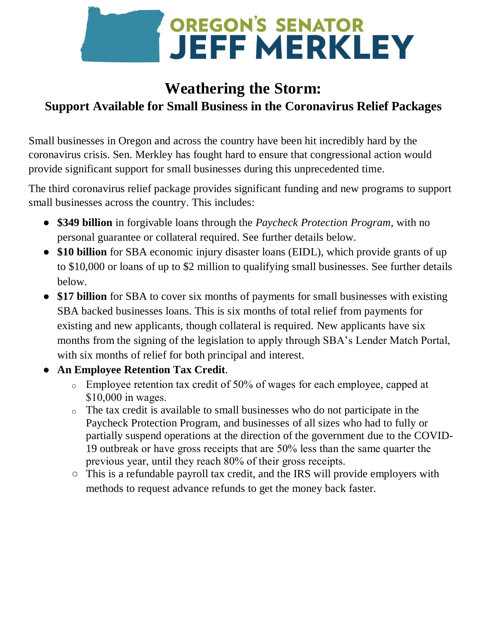

# **Weathering the Storm: Support Available for Small Business in the Coronavirus Relief Packages**

Small businesses in Oregon and across the country have been hit incredibly hard by the coronavirus crisis. Sen. Merkley has fought hard to ensure that congressional action would provide significant support for small businesses during this unprecedented time.

The third coronavirus relief package provides significant funding and new programs to support small businesses across the country. This includes:

- **\$349 billion** in forgivable loans through the *Paycheck Protection Program*, with no personal guarantee or collateral required. See further details below.
- **\$10 billion** for SBA economic injury disaster loans (EIDL), which provide grants of up to \$10,000 or loans of up to \$2 million to qualifying small businesses. See further details below.
- \$17 billion for SBA to cover six months of payments for small businesses with existing SBA backed businesses loans. This is six months of total relief from payments for existing and new applicants, though collateral is required. New applicants have six months from the signing of the legislation to apply through SBA's Lender Match Portal, with six months of relief for both principal and interest.
- **An Employee Retention Tax Credit**.
	- o Employee retention tax credit of 50% of wages for each employee, capped at \$10,000 in wages.
	- o The tax credit is available to small businesses who do not participate in the Paycheck Protection Program, and businesses of all sizes who had to fully or partially suspend operations at the direction of the government due to the COVID-19 outbreak or have gross receipts that are 50% less than the same quarter the previous year, until they reach 80% of their gross receipts.
	- This is a refundable payroll tax credit, and the IRS will provide employers with methods to request advance refunds to get the money back faster.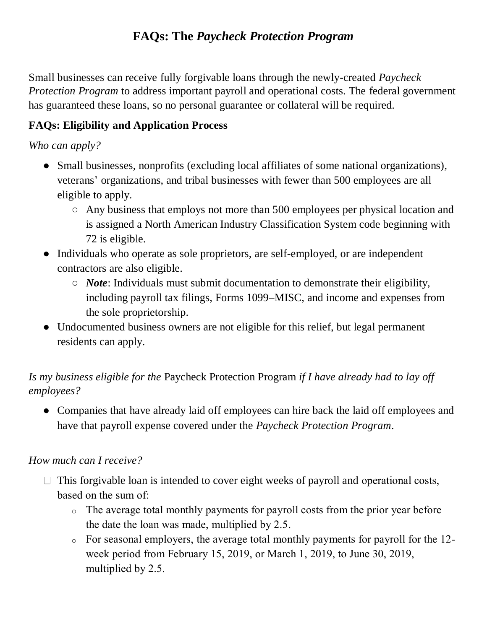## **FAQs: The** *Paycheck Protection Program*

Small businesses can receive fully forgivable loans through the newly-created *Paycheck Protection Program* to address important payroll and operational costs. The federal government has guaranteed these loans, so no personal guarantee or collateral will be required.

## **FAQs: Eligibility and Application Process**

### *Who can apply?*

- Small businesses, nonprofits (excluding local affiliates of some national organizations), veterans' organizations, and tribal businesses with fewer than 500 employees are all eligible to apply.
	- Any business that employs not more than 500 employees per physical location and is assigned a North American Industry Classification System code beginning with 72 is eligible.
- Individuals who operate as sole proprietors, are self-employed, or are independent contractors are also eligible.
	- *Note*: Individuals must submit documentation to demonstrate their eligibility, including payroll tax filings, Forms 1099–MISC, and income and expenses from the sole proprietorship.
- Undocumented business owners are not eligible for this relief, but legal permanent residents can apply.

## *Is my business eligible for the* Paycheck Protection Program *if I have already had to lay off employees?*

• Companies that have already laid off employees can hire back the laid off employees and have that payroll expense covered under the *Paycheck Protection Program*.

### *How much can I receive?*

- $\Box$  This forgivable loan is intended to cover eight weeks of payroll and operational costs, based on the sum of:
	- o The average total monthly payments for payroll costs from the prior year before the date the loan was made, multiplied by 2.5.
	- o For seasonal employers, the average total monthly payments for payroll for the 12 week period from February 15, 2019, or March 1, 2019, to June 30, 2019, multiplied by 2.5.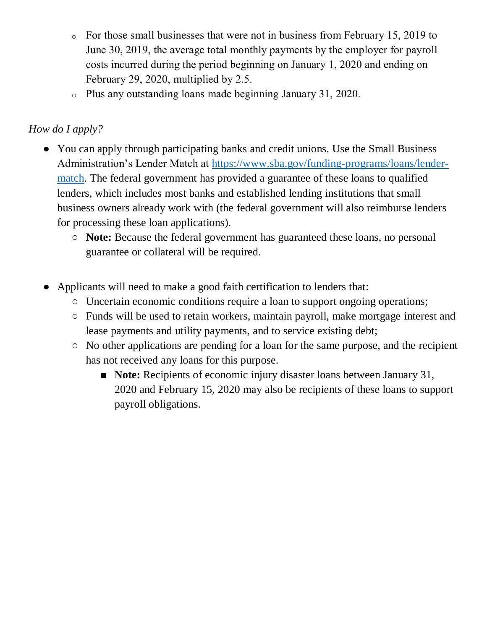- o For those small businesses that were not in business from February 15, 2019 to June 30, 2019, the average total monthly payments by the employer for payroll costs incurred during the period beginning on January 1, 2020 and ending on February 29, 2020, multiplied by 2.5.
- o Plus any outstanding loans made beginning January 31, 2020.

## *How do I apply?*

- You can apply through participating banks and credit unions. Use the Small Business Administration's Lender Match at https://www.sba.gov/funding-programs/loans/lendermatch. The federal government has provided a guarantee of these loans to qualified lenders, which includes most banks and established lending institutions that small business owners already work with (the federal government will also reimburse lenders for processing these loan applications).
	- **Note:** Because the federal government has guaranteed these loans, no personal guarantee or collateral will be required.
- Applicants will need to make a good faith certification to lenders that:
	- Uncertain economic conditions require a loan to support ongoing operations;
	- Funds will be used to retain workers, maintain payroll, make mortgage interest and lease payments and utility payments, and to service existing debt;
	- No other applications are pending for a loan for the same purpose, and the recipient has not received any loans for this purpose.
		- **Note:** Recipients of economic injury disaster loans between January 31, 2020 and February 15, 2020 may also be recipients of these loans to support payroll obligations.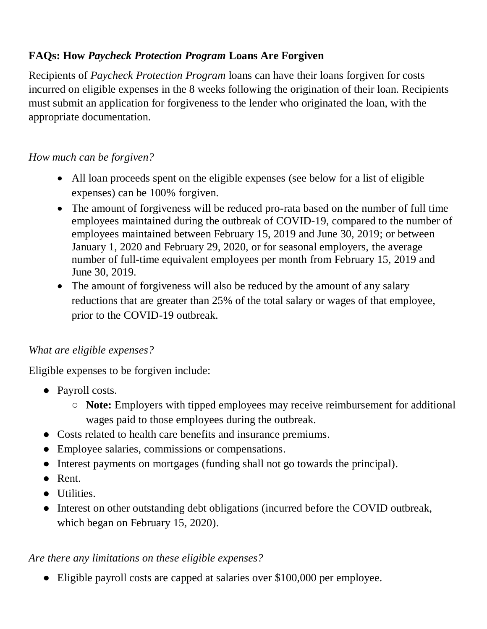## **FAQs: How** *Paycheck Protection Program* **Loans Are Forgiven**

Recipients of *Paycheck Protection Program* loans can have their loans forgiven for costs incurred on eligible expenses in the 8 weeks following the origination of their loan. Recipients must submit an application for forgiveness to the lender who originated the loan, with the appropriate documentation.

### *How much can be forgiven?*

- All loan proceeds spent on the eligible expenses (see below for a list of eligible expenses) can be 100% forgiven.
- The amount of forgiveness will be reduced pro-rata based on the number of full time employees maintained during the outbreak of COVID-19, compared to the number of employees maintained between February 15, 2019 and June 30, 2019; or between January 1, 2020 and February 29, 2020, or for seasonal employers, the average number of full-time equivalent employees per month from February 15, 2019 and June 30, 2019.
- The amount of forgiveness will also be reduced by the amount of any salary reductions that are greater than 25% of the total salary or wages of that employee, prior to the COVID-19 outbreak.

### *What are eligible expenses?*

Eligible expenses to be forgiven include:

- Payroll costs.
	- **Note:** Employers with tipped employees may receive reimbursement for additional wages paid to those employees during the outbreak.
- Costs related to health care benefits and insurance premiums.
- Employee salaries, commissions or compensations.
- Interest payments on mortgages (funding shall not go towards the principal).
- Rent.
- Utilities.
- Interest on other outstanding debt obligations (incurred before the COVID outbreak, which began on February 15, 2020).

### *Are there any limitations on these eligible expenses?*

● Eligible payroll costs are capped at salaries over \$100,000 per employee.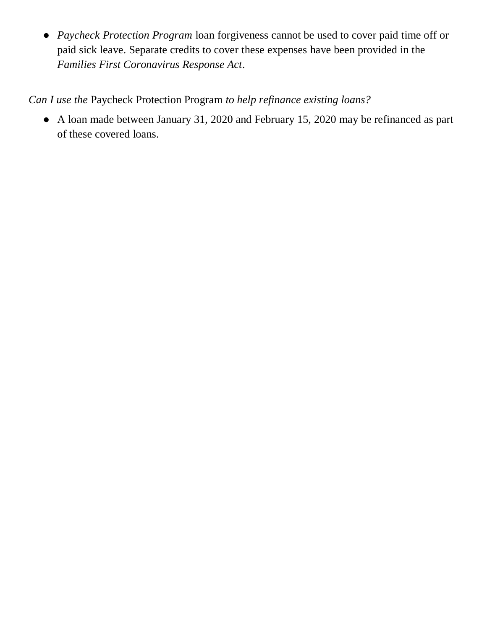● *Paycheck Protection Program* loan forgiveness cannot be used to cover paid time off or paid sick leave. Separate credits to cover these expenses have been provided in the *Families First Coronavirus Response Act*.

*Can I use the* Paycheck Protection Program *to help refinance existing loans?*

● A loan made between January 31, 2020 and February 15, 2020 may be refinanced as part of these covered loans.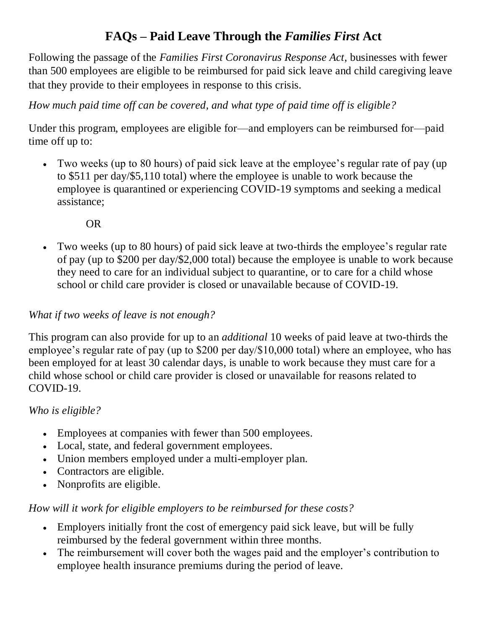## **FAQs – Paid Leave Through the** *Families First* **Act**

Following the passage of the *Families First Coronavirus Response Act*, businesses with fewer than 500 employees are eligible to be reimbursed for paid sick leave and child caregiving leave that they provide to their employees in response to this crisis.

*How much paid time off can be covered, and what type of paid time off is eligible?*

Under this program, employees are eligible for—and employers can be reimbursed for—paid time off up to:

 Two weeks (up to 80 hours) of paid sick leave at the employee's regular rate of pay (up to \$511 per day/\$5,110 total) where the employee is unable to work because the employee is quarantined or experiencing COVID-19 symptoms and seeking a medical assistance;

OR

 Two weeks (up to 80 hours) of paid sick leave at two-thirds the employee's regular rate of pay (up to \$200 per day/\$2,000 total) because the employee is unable to work because they need to care for an individual subject to quarantine, or to care for a child whose school or child care provider is closed or unavailable because of COVID-19.

#### *What if two weeks of leave is not enough?*

This program can also provide for up to an *additional* 10 weeks of paid leave at two-thirds the employee's regular rate of pay (up to \$200 per day/\$10,000 total) where an employee, who has been employed for at least 30 calendar days, is unable to work because they must care for a child whose school or child care provider is closed or unavailable for reasons related to COVID-19.

#### *Who is eligible?*

- Employees at companies with fewer than 500 employees.
- Local, state, and federal government employees.
- Union members employed under a multi-employer plan.
- Contractors are eligible.
- Nonprofits are eligible.

#### *How will it work for eligible employers to be reimbursed for these costs?*

- Employers initially front the cost of emergency paid sick leave, but will be fully reimbursed by the federal government within three months.
- The reimbursement will cover both the wages paid and the employer's contribution to employee health insurance premiums during the period of leave.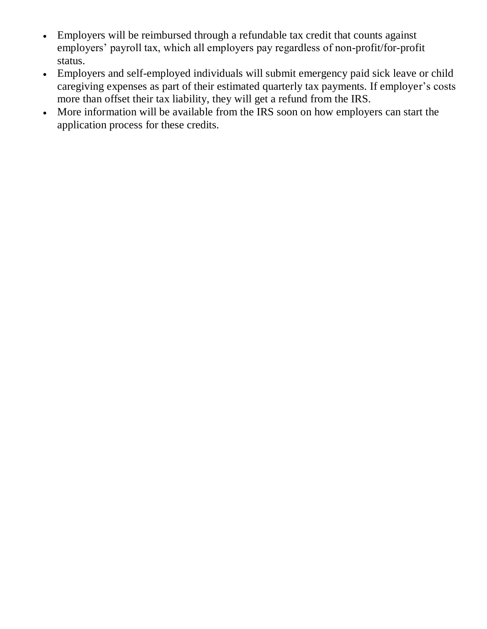- Employers will be reimbursed through a refundable tax credit that counts against employers' payroll tax, which all employers pay regardless of non-profit/for-profit status.
- Employers and self-employed individuals will submit emergency paid sick leave or child caregiving expenses as part of their estimated quarterly tax payments. If employer's costs more than offset their tax liability, they will get a refund from the IRS.
- More information will be available from the IRS soon on how employers can start the application process for these credits.